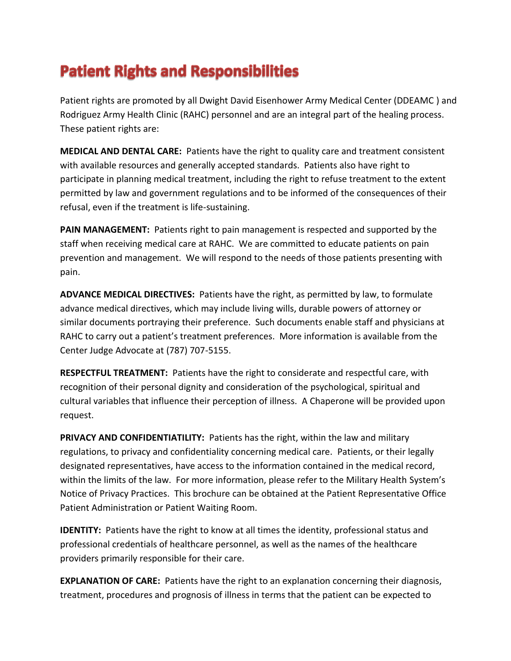## **Patient Rights and Responsibilities**

Patient rights are promoted by all Dwight David Eisenhower Army Medical Center (DDEAMC ) and Rodriguez Army Health Clinic (RAHC) personnel and are an integral part of the healing process. These patient rights are:

**MEDICAL AND DENTAL CARE:** Patients have the right to quality care and treatment consistent with available resources and generally accepted standards. Patients also have right to participate in planning medical treatment, including the right to refuse treatment to the extent permitted by law and government regulations and to be informed of the consequences of their refusal, even if the treatment is life-sustaining.

**PAIN MANAGEMENT:** Patients right to pain management is respected and supported by the staff when receiving medical care at RAHC. We are committed to educate patients on pain prevention and management. We will respond to the needs of those patients presenting with pain.

**ADVANCE MEDICAL DIRECTIVES:** Patients have the right, as permitted by law, to formulate advance medical directives, which may include living wills, durable powers of attorney or similar documents portraying their preference. Such documents enable staff and physicians at RAHC to carry out a patient's treatment preferences. More information is available from the Center Judge Advocate at (787) 707-5155.

**RESPECTFUL TREATMENT:** Patients have the right to considerate and respectful care, with recognition of their personal dignity and consideration of the psychological, spiritual and cultural variables that influence their perception of illness. A Chaperone will be provided upon request.

**PRIVACY AND CONFIDENTIATILITY:** Patients has the right, within the law and military regulations, to privacy and confidentiality concerning medical care. Patients, or their legally designated representatives, have access to the information contained in the medical record, within the limits of the law. For more information, please refer to the Military Health System's Notice of Privacy Practices. This brochure can be obtained at the Patient Representative Office Patient Administration or Patient Waiting Room.

**IDENTITY:** Patients have the right to know at all times the identity, professional status and professional credentials of healthcare personnel, as well as the names of the healthcare providers primarily responsible for their care.

**EXPLANATION OF CARE:** Patients have the right to an explanation concerning their diagnosis, treatment, procedures and prognosis of illness in terms that the patient can be expected to